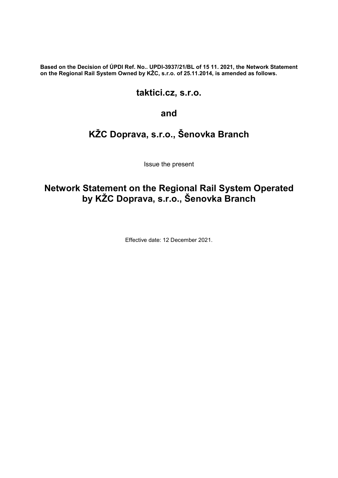Based on the Decision of ÚPDI Ref. No.. UPDI-3937/21/BL of 15 11. 2021, the Network Statement on the Regional Rail System Owned by KŽC, s.r.o. of 25.11.2014, is amended as follows.

### taktici.cz, s.r.o.

#### and

# KŽC Doprava, s.r.o., Šenovka Branch

Issue the present

# Network Statement on the Regional Rail System Operated by KŽC Doprava, s.r.o., Šenovka Branch

Effective date: 12 December 2021.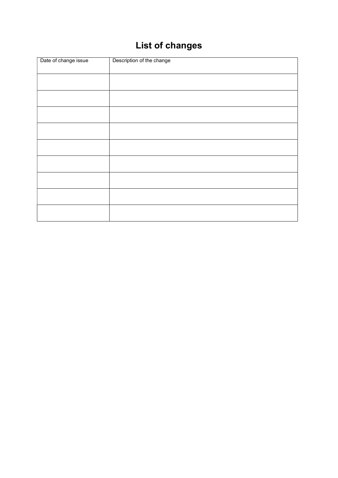# List of changes

| Date of change issue | Description of the change |
|----------------------|---------------------------|
|                      |                           |
|                      |                           |
|                      |                           |
|                      |                           |
|                      |                           |
|                      |                           |
|                      |                           |
|                      |                           |
|                      |                           |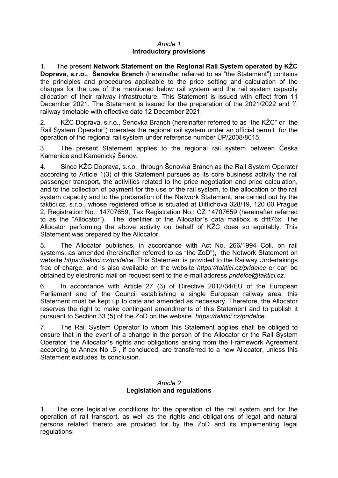#### Article 1 Introductory provisions

1. The present Network Statement on the Regional Rail System operated by KŽC Doprava, s.r.o., Šenovka Branch (hereinafter referred to as "the Statement") contains the principles and procedures applicable to the price setting and calculation of the charges for the use of the mentioned below rail system and the rail system capacity allocation of their railway infrastructure. This Statement is issued with effect from 11 December 2021. The Statement is issued for the preparation of the 2021/2022 and ff. railway timetable with effective date 12 December 2021.

2. KŽC Doprava, s.r.o., Šenovka Branch (hereinafter referred to as "the KŽC" or "the Rail System Operator") operates the regional rail system under an official permit for the operation of the regional rail system under reference number ÚP/2008/8015.

3. The present Statement applies to the regional rail system between Česká Kamenice and Kamenický Šenov.

4. Since KŽC Doprava, s.r.o., through Šenovka Branch as the Rail System Operator according to Article 1(3) of this Statement pursues as its core business activity the rail passenger transport, the activities related to the price negotiation and price calculation, and to the collection of payment for the use of the rail system, to the allocation of the rail system capacity and to the preparation of the Network Statement, are carried out by the taktici.cz, s.r.o., whose registered office is situated at Dittichova 328/19, 120 00 Prague 2, Registration No.: 14707659, Tax Registration No.: CZ 14707659 (hereinafter referred to as the "Allocator"). The identifier of the Allocator´s data mailbox is dfft76x. The Allocator performing the above activity on behalf of KŽC does so equitably. This Statement was prepared by the Allocator.

5. The Allocator publishes, in accordance with Act No. 266/1994 Coll. on rail systems, as amended (hereinafter referred to as "the ZoD"), the Network Statement on website https://taktici.cz/pridelce. This Statement is provided to the Railway Undertakings free of charge, and is also available on the website https://taktici.cz/pridelce or can be obtained by electronic mail on request sent to the e-mail address *pridelce@taktici.cz.* 

6. In accordance with Article 27 (3) of Directive 2012/34/EU of the European Parliament and of the Council establishing a single European railway area, this Statement must be kept up to date and amended as necessary. Therefore, the Allocator reserves the right to make contingent amendments of this Statement and to publish it pursuant to Section 33 (5) of the ZoD on the website https://taktici.cz/pridelce.

7. The Rail System Operator to whom this Statement applies shall be obliged to ensure that in the event of a change in the person of the Allocator or the Rail System Operator, the Allocator´s rights and obligations arising from the Framework Agreement according to Annex No .5 , if concluded, are transferred to a new Allocator, unless this Statement excludes its conclusion.

#### Article 2 Legislation and regulations

1. The core legislative conditions for the operation of the rail system and for the operation of rail transport, as well as the rights and obligations of legal and natural persons related thereto are provided for by the ZoD and its implementing legal regulations.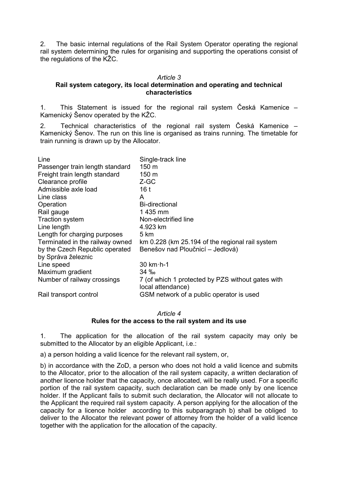2. The basic internal regulations of the Rail System Operator operating the regional rail system determining the rules for organising and supporting the operations consist of the regulations of the KŽC.

#### Article 3

#### Rail system category, its local determination and operating and technical characteristics

1. This Statement is issued for the regional rail system Česká Kamenice – Kamenický Šenov operated by the KŽC.

2. Technical characteristics of the regional rail system Česká Kamenice – Kamenický Šenov. The run on this line is organised as trains running. The timetable for train running is drawn up by the Allocator.

| Line                            | Single-track line                                 |
|---------------------------------|---------------------------------------------------|
| Passenger train length standard | $150 \text{ m}$                                   |
| Freight train length standard   | 150 <sub>m</sub>                                  |
| Clearance profile               | Z-GC                                              |
|                                 |                                                   |
| Admissible axle load            | 16 <sub>t</sub>                                   |
| Line class                      | A                                                 |
| Operation                       | <b>Bi-directional</b>                             |
| Rail gauge                      | 1 435 mm                                          |
| <b>Traction system</b>          | Non-electrified line                              |
| Line length                     | 4.923 km                                          |
| Length for charging purposes    | 5 km                                              |
| Terminated in the railway owned | km 0.228 (km 25.194 of the regional rail system   |
| by the Czech Republic operated  | Benešov nad Ploučnicí – Jedlová)                  |
| by Správa železnic              |                                                   |
| Line speed                      | $30$ km $\cdot$ h-1                               |
| Maximum gradient                | $34\%$                                            |
| Number of railway crossings     | 7 (of which 1 protected by PZS without gates with |
|                                 | local attendance)                                 |
| Rail transport control          | GSM network of a public operator is used          |

Article 4

Rules for the access to the rail system and its use

1. The application for the allocation of the rail system capacity may only be submitted to the Allocator by an eligible Applicant, i.e.:

a) a person holding a valid licence for the relevant rail system, or,

b) in accordance with the ZoD, a person who does not hold a valid licence and submits to the Allocator, prior to the allocation of the rail system capacity, a written declaration of another licence holder that the capacity, once allocated, will be really used. For a specific portion of the rail system capacity, such declaration can be made only by one licence holder. If the Applicant fails to submit such declaration, the Allocator will not allocate to the Applicant the required rail system capacity. A person applying for the allocation of the capacity for a licence holder according to this subparagraph b) shall be obliged to deliver to the Allocator the relevant power of attorney from the holder of a valid licence together with the application for the allocation of the capacity.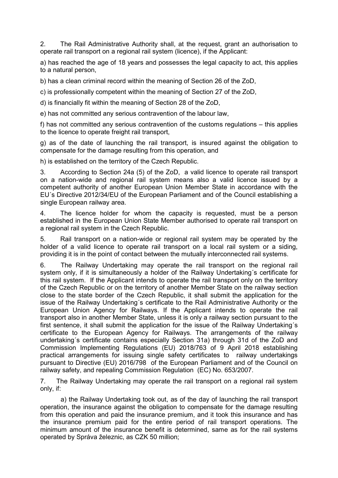2. The Rail Administrative Authority shall, at the request, grant an authorisation to operate rail transport on a regional rail system (licence), if the Applicant:

a) has reached the age of 18 years and possesses the legal capacity to act, this applies to a natural person,

b) has a clean criminal record within the meaning of Section 26 of the ZoD,

c) is professionally competent within the meaning of Section 27 of the ZoD,

d) is financially fit within the meaning of Section 28 of the ZoD,

e) has not committed any serious contravention of the labour law,

f) has not committed any serious contravention of the customs regulations – this applies to the licence to operate freight rail transport,

g) as of the date of launching the rail transport, is insured against the obligation to compensate for the damage resulting from this operation, and

h) is established on the territory of the Czech Republic.

3. According to Section 24a (5) of the ZoD, a valid licence to operate rail transport on a nation-wide and regional rail system means also a valid licence issued by a competent authority of another European Union Member State in accordance with the EU´s Directive 2012/34/EU of the European Parliament and of the Council establishing a single European railway area.

4. The licence holder for whom the capacity is requested, must be a person established in the European Union State Member authorised to operate rail transport on a regional rail system in the Czech Republic.

5. Rail transport on a nation-wide or regional rail system may be operated by the holder of a valid licence to operate rail transport on a local rail system or a siding. providing it is in the point of contact between the mutually interconnected rail systems.

6. The Railway Undertaking may operate the rail transport on the regional rail system only, if it is simultaneously a holder of the Railway Undertaking´s certificate for this rail system. If the Applicant intends to operate the rail transport only on the territory of the Czech Republic or on the territory of another Member State on the railway section close to the state border of the Czech Republic, it shall submit the application for the issue of the Railway Undertaking´s certificate to the Rail Administrative Authority or the European Union Agency for Railways. If the Applicant intends to operate the rail transport also in another Member State, unless it is only a railway section pursuant to the first sentence, it shall submit the application for the issue of the Railway Undertaking´s certificate to the European Agency for Railways. The arrangements of the railway undertaking´s certificate contains especially Section 31a) through 31d of the ZoD and Commission Implementing Regulations (EU) 2018/763 of 9 April 2018 establishing practical arrangements for issuing single safety certificates to railway undertakings pursuant to Directive (EU) 2016/798 of the European Parliament and of the Council on railway safety, and repealing Commission Regulation (EC) No. 653/2007.

7. The Railway Undertaking may operate the rail transport on a regional rail system only, if:

a) the Railway Undertaking took out, as of the day of launching the rail transport operation, the insurance against the obligation to compensate for the damage resulting from this operation and paid the insurance premium, and it took this insurance and has the insurance premium paid for the entire period of rail transport operations. The minimum amount of the insurance benefit is determined, same as for the rail systems operated by Správa železnic, as CZK 50 million;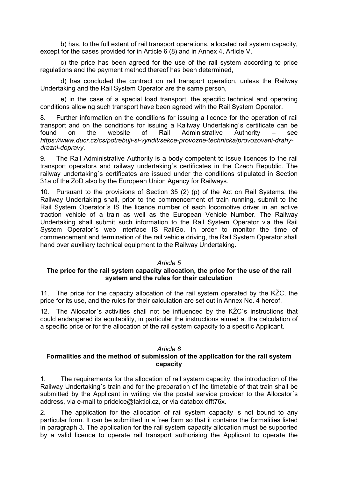b) has, to the full extent of rail transport operations, allocated rail system capacity, except for the cases provided for in Article 6 (8) and in Annex 4, Article V,

c) the price has been agreed for the use of the rail system according to price regulations and the payment method thereof has been determined,

d) has concluded the contract on rail transport operation, unless the Railway Undertaking and the Rail System Operator are the same person,

e) in the case of a special load transport, the specific technical and operating conditions allowing such transport have been agreed with the Rail System Operator.

8. Further information on the conditions for issuing a licence for the operation of rail transport and on the conditions for issuing a Railway Undertaking´s certificate can be found on the website of Rail Administrative Authority – see https://www.ducr.cz/cs/potrebuji-si-vyridit/sekce-provozne-technicka/provozovani-drahydrazni-dopravy.

9. The Rail Administrative Authority is a body competent to issue licences to the rail transport operators and railway undertaking´s certificates in the Czech Republic. The railway undertaking´s certificates are issued under the conditions stipulated in Section 31a of the ZoD also by the European Union Agency for Railways.

10. Pursuant to the provisions of Section 35 (2) (p) of the Act on Rail Systems, the Railway Undertaking shall, prior to the commencement of train running, submit to the Rail System Operator´s IS the licence number of each locomotive driver in an active traction vehicle of a train as well as the European Vehicle Number. The Railway Undertaking shall submit such information to the Rail System Operator via the Rail System Operator´s web interface IS RailGo. In order to monitor the time of commencement and termination of the rail vehicle driving, the Rail System Operator shall hand over auxiliary technical equipment to the Railway Undertaking.

#### Article 5

#### The price for the rail system capacity allocation, the price for the use of the rail system and the rules for their calculation

11. The price for the capacity allocation of the rail system operated by the KŽC, the price for its use, and the rules for their calculation are set out in Annex No. 4 hereof.

12. The Allocator´s activities shall not be influenced by the KŽC´s instructions that could endangered its equitability, in particular the instructions aimed at the calculation of a specific price or for the allocation of the rail system capacity to a specific Applicant.

#### Article 6

#### Formalities and the method of submission of the application for the rail system capacity

1. The requirements for the allocation of rail system capacity, the introduction of the Railway Undertaking´s train and for the preparation of the timetable of that train shall be submitted by the Applicant in writing via the postal service provider to the Allocator's address, via e-mail to pridelce@taktici.cz, or via databox dfft76x.

2. The application for the allocation of rail system capacity is not bound to any particular form. It can be submitted in a free form so that it contains the formalities listed in paragraph 3. The application for the rail system capacity allocation must be supported by a valid licence to operate rail transport authorising the Applicant to operate the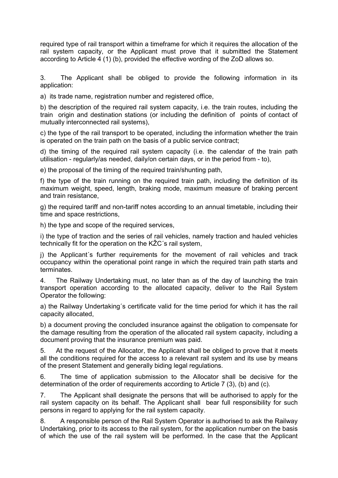required type of rail transport within a timeframe for which it requires the allocation of the rail system capacity, or the Applicant must prove that it submitted the Statement according to Article 4 (1) (b), provided the effective wording of the ZoD allows so.

3. The Applicant shall be obliged to provide the following information in its application:

a) its trade name, registration number and registered office,

b) the description of the required rail system capacity, i.e. the train routes, including the train origin and destination stations (or including the definition of points of contact of mutually interconnected rail systems),

c) the type of the rail transport to be operated, including the information whether the train is operated on the train path on the basis of a public service contract;

d) the timing of the required rail system capacity (i.e. the calendar of the train path utilisation - regularly/as needed, daily/on certain days, or in the period from - to),

e) the proposal of the timing of the required train/shunting path,

f) the type of the train running on the required train path, including the definition of its maximum weight, speed, length, braking mode, maximum measure of braking percent and train resistance,

g) the required tariff and non-tariff notes according to an annual timetable, including their time and space restrictions,

h) the type and scope of the required services,

i) the type of traction and the series of rail vehicles, namely traction and hauled vehicles technically fit for the operation on the KŽC´s rail system,

j) the Applicant´s further requirements for the movement of rail vehicles and track occupancy within the operational point range in which the required train path starts and terminates.

4. The Railway Undertaking must, no later than as of the day of launching the train transport operation according to the allocated capacity, deliver to the Rail System Operator the following:

a) the Railway Undertaking´s certificate valid for the time period for which it has the rail capacity allocated,

b) a document proving the concluded insurance against the obligation to compensate for the damage resulting from the operation of the allocated rail system capacity, including a document proving that the insurance premium was paid.

5. At the request of the Allocator, the Applicant shall be obliged to prove that it meets all the conditions required for the access to a relevant rail system and its use by means of the present Statement and generally biding legal regulations.

6. The time of application submission to the Allocator shall be decisive for the determination of the order of requirements according to Article 7 (3), (b) and (c).

7. The Applicant shall designate the persons that will be authorised to apply for the rail system capacity on its behalf. The Applicant shall bear full responsibility for such persons in regard to applying for the rail system capacity.

8. A responsible person of the Rail System Operator is authorised to ask the Railway Undertaking, prior to its access to the rail system, for the application number on the basis of which the use of the rail system will be performed. In the case that the Applicant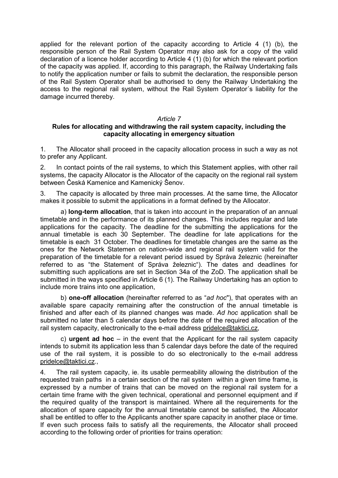applied for the relevant portion of the capacity according to Article 4 (1) (b), the responsible person of the Rail System Operator may also ask for a copy of the valid declaration of a licence holder according to Article 4 (1) (b) for which the relevant portion of the capacity was applied. If, according to this paragraph, the Railway Undertaking fails to notify the application number or fails to submit the declaration, the responsible person of the Rail System Operator shall be authorised to deny the Railway Undertaking the access to the regional rail system, without the Rail System Operator´s liability for the damage incurred thereby.

#### Article 7

#### Rules for allocating and withdrawing the rail system capacity, including the capacity allocating in emergency situation

1. The Allocator shall proceed in the capacity allocation process in such a way as not to prefer any Applicant.

2. In contact points of the rail systems, to which this Statement applies, with other rail systems, the capacity Allocator is the Allocator of the capacity on the regional rail system between Česká Kamenice and Kamenický Šenov.

3. The capacity is allocated by three main processes. At the same time, the Allocator makes it possible to submit the applications in a format defined by the Allocator.

a) **long-term allocation**, that is taken into account in the preparation of an annual timetable and in the performance of its planned changes. This includes regular and late applications for the capacity. The deadline for the submitting the applications for the annual timetable is each 30 September. The deadline for late applications for the timetable is each 31 October. The deadlines for timetable changes are the same as the ones for the Network Statemen on nation-wide and regional rail system valid for the preparation of the timetable for a relevant period issued by Správa železnic (hereinafter referred to as "the Statement of Správa železnic"). The dates and deadlines for submitting such applications are set in Section 34a of the ZoD. The application shall be submitted in the ways specified in Article 6 (1). The Railway Undertaking has an option to include more trains into one application,

b) **one-off allocation** (hereinafter referred to as "ad hoc"), that operates with an available spare capacity remaining after the construction of the annual timetable is finished and after each of its planned changes was made. Ad hoc application shall be submitted no later than 5 calendar days before the date of the required allocation of the rail system capacity, electronically to the e-mail address pridelce@taktici.cz,

c) **urgent ad hoc** – in the event that the Applicant for the rail system capacity intends to submit its application less than 5 calendar days before the date of the required use of the rail system, it is possible to do so electronically to the e-mail address pridelce@taktici.cz.,

4. The rail system capacity, ie. its usable permeability allowing the distribution of the requested train paths in a certain section of the rail system within a given time frame, is expressed by a number of trains that can be moved on the regional rail system for a certain time frame with the given technical, operational and personnel equipment and if the required quality of the transport is maintained. Where all the requirements for the allocation of spare capacity for the annual timetable cannot be satisfied, the Allocator shall be entitled to offer to the Applicants another spare capacity in another place or time. If even such process fails to satisfy all the requirements, the Allocator shall proceed according to the following order of priorities for trains operation: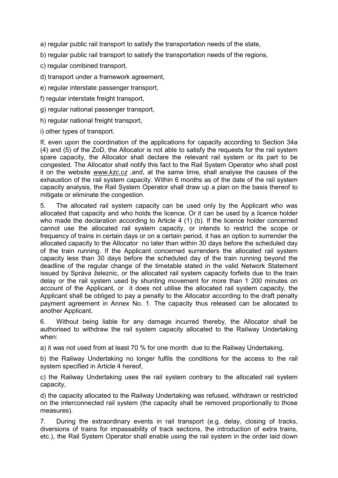a) regular public rail transport to satisfy the transportation needs of the state,

b) regular public rail transport to satisfy the transportation needs of the regions,

c) regular combined transport,

- d) transport under a framework agreement,
- e) regular interstate passenger transport,
- f) regular interstate freight transport,
- g) regular national passenger transport,
- h) regular national freight transport,
- i) other types of transport.

If, even upon the coordination of the applications for capacity according to Section 34a (4) and (5) of the ZoD, the Allocator is not able to satisfy the requests for the rail system spare capacity, the Allocator shall declare the relevant rail system or its part to be congested. The Allocator shall notify this fact to the Rail System Operator who shall post it on the website www.kzc.cz ,and, at the same time, shall analyse the causes of the exhaustion of the rail system capacity. Within 6 months as of the date of the rail system capacity analysis, the Rail System Operator shall draw up a plan on the basis thereof to mitigate or eliminate the congestion.

5. The allocated rail system capacity can be used only by the Applicant who was allocated that capacity and who holds the licence. Or it can be used by a licence holder who made the declaration according to Article 4 (1) (b). If the licence holder concerned cannot use the allocated rail system capacity, or intends to restrict the scope or frequency of trains in certain days or on a certain period, it has an option to surrender the allocated capacity to the Allocator no later than within 30 days before the scheduled day of the train running. If the Applicant concerned surrenders the allocated rail system capacity less than 30 days before the scheduled day of the train running beyond the deadline of the regular change of the timetable stated in the valid Network Statement issued by Správa železnic, or the allocated rail system capacity forfeits due to the train delay or the rail system used by shunting movement for more than 1 200 minutes on account of the Applicant, or it does not utilise the allocated rail system capacity, the Applicant shall be obliged to pay a penalty to the Allocator according to the draft penalty payment agreement in Annex No. 1. The capacity thus released can be allocated to another Applicant.

6. Without being liable for any damage incurred thereby, the Allocator shall be authorised to withdraw the rail system capacity allocated to the Railway Undertaking when:

a) it was not used from at least 70 % for one month due to the Railway Undertaking,

b) the Railway Undertaking no longer fulfils the conditions for the access to the rail system specified in Article 4 hereof,

c) the Railway Undertaking uses the rail system contrary to the allocated rail system capacity,

d) the capacity allocated to the Railway Undertaking was refused, withdrawn or restricted on the interconnected rail system (the capacity shall be removed proportionally to those measures).

7. During the extraordinary events in rail transport (e.g. delay, closing of tracks, diversions of trains for impassability of track sections, the introduction of extra trains, etc.), the Rail System Operator shall enable using the rail system in the order laid down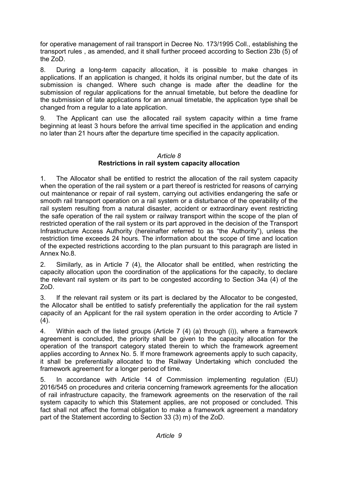for operative management of rail transport in Decree No. 173/1995 Coll., establishing the transport rules , as amended, and it shall further proceed according to Section 23b (5) of the ZoD.

8. During a long-term capacity allocation, it is possible to make changes in applications. If an application is changed, it holds its original number, but the date of its submission is changed. Where such change is made after the deadline for the submission of regular applications for the annual timetable, but before the deadline for the submission of late applications for an annual timetable, the application type shall be changed from a regular to a late application.

9. The Applicant can use the allocated rail system capacity within a time frame beginning at least 3 hours before the arrival time specified in the application and ending no later than 21 hours after the departure time specified in the capacity application.

#### Article 8 Restrictions in rail system capacity allocation

1. The Allocator shall be entitled to restrict the allocation of the rail system capacity when the operation of the rail system or a part thereof is restricted for reasons of carrying out maintenance or repair of rail system, carrying out activities endangering the safe or smooth rail transport operation on a rail system or a disturbance of the operability of the rail system resulting from a natural disaster, accident or extraordinary event restricting the safe operation of the rail system or railway transport within the scope of the plan of restricted operation of the rail system or its part approved in the decision of the Transport Infrastructure Access Authority (hereinafter referred to as "the Authority"), unless the restriction time exceeds 24 hours. The information about the scope of time and location of the expected restrictions according to the plan pursuant to this paragraph are listed in Annex No.8.

2. Similarly, as in Article 7 (4), the Allocator shall be entitled, when restricting the capacity allocation upon the coordination of the applications for the capacity, to declare the relevant rail system or its part to be congested according to Section 34a (4) of the ZoD.

3. If the relevant rail system or its part is declared by the Allocator to be congested, the Allocator shall be entitled to satisfy preferentially the application for the rail system capacity of an Applicant for the rail system operation in the order according to Article 7  $(4)$ .

4. Within each of the listed groups (Article 7 (4) (a) through (i)), where a framework agreement is concluded, the priority shall be given to the capacity allocation for the operation of the transport category stated therein to which the framework agreement applies according to Annex No. 5. If more framework agreements apply to such capacity, it shall be preferentially allocated to the Railway Undertaking which concluded the framework agreement for a longer period of time.

5. In accordance with Article 14 of Commission implementing regulation (EU) 2016/545 on procedures and criteria concerning framework agreements for the allocation of rail infrastructure capacity, the framework agreements on the reservation of the rail system capacity to which this Statement applies, are not proposed or concluded. This fact shall not affect the formal obligation to make a framework agreement a mandatory part of the Statement according to Section 33 (3) m) of the ZoD.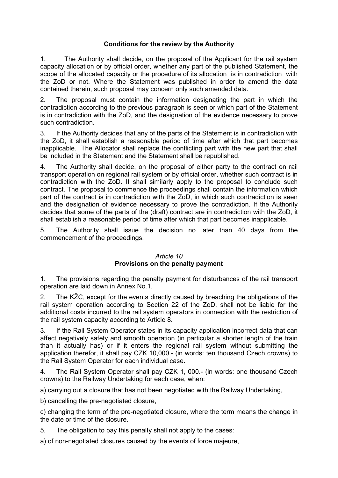#### Conditions for the review by the Authority

1. The Authority shall decide, on the proposal of the Applicant for the rail system capacity allocation or by official order, whether any part of the published Statement, the scope of the allocated capacity or the procedure of its allocation is in contradiction with the ZoD or not. Where the Statement was published in order to amend the data contained therein, such proposal may concern only such amended data.

2. The proposal must contain the information designating the part in which the contradiction according to the previous paragraph is seen or which part of the Statement is in contradiction with the ZoD, and the designation of the evidence necessary to prove such contradiction.

3. If the Authority decides that any of the parts of the Statement is in contradiction with the ZoD, it shall establish a reasonable period of time after which that part becomes inapplicable. The Allocator shall replace the conflicting part with the new part that shall be included in the Statement and the Statement shall be republished.

4. The Authority shall decide, on the proposal of either party to the contract on rail transport operation on regional rail system or by official order, whether such contract is in contradiction with the ZoD. It shall similarly apply to the proposal to conclude such contract. The proposal to commence the proceedings shall contain the information which part of the contract is in contradiction with the ZoD, in which such contradiction is seen and the designation of evidence necessary to prove the contradiction. If the Authority decides that some of the parts of the (draft) contract are in contradiction with the ZoD, it shall establish a reasonable period of time after which that part becomes inapplicable.

5. The Authority shall issue the decision no later than 40 days from the commencement of the proceedings.

#### Article 10

#### Provisions on the penalty payment

1. The provisions regarding the penalty payment for disturbances of the rail transport operation are laid down in Annex No.1.

2. The KŽC, except for the events directly caused by breaching the obligations of the rail system operation according to Section 22 of the ZoD, shall not be liable for the additional costs incurred to the rail system operators in connection with the restriction of the rail system capacity according to Article 8.

3. If the Rail System Operator states in its capacity application incorrect data that can affect negatively safety and smooth operation (in particular a shorter length of the train than it actually has) or if it enters the regional rail system without submitting the application therefor, it shall pay CZK 10,000.- (in words: ten thousand Czech crowns) to the Rail System Operator for each individual case.

4. The Rail System Operator shall pay CZK 1, 000.- (in words: one thousand Czech crowns) to the Railway Undertaking for each case, when:

a) carrying out a closure that has not been negotiated with the Railway Undertaking,

b) cancelling the pre-negotiated closure,

c) changing the term of the pre-negotiated closure, where the term means the change in the date or time of the closure.

5. The obligation to pay this penalty shall not apply to the cases:

a) of non-negotiated closures caused by the events of force majeure,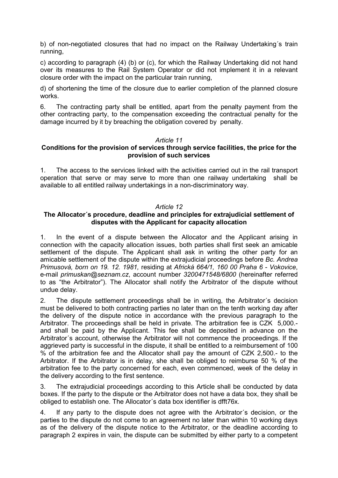b) of non-negotiated closures that had no impact on the Railway Undertaking´s train running,

c) according to paragraph (4) (b) or (c), for which the Railway Undertaking did not hand over its measures to the Rail System Operator or did not implement it in a relevant closure order with the impact on the particular train running,

d) of shortening the time of the closure due to earlier completion of the planned closure works.

6. The contracting party shall be entitled, apart from the penalty payment from the other contracting party, to the compensation exceeding the contractual penalty for the damage incurred by it by breaching the obligation covered by penalty.

#### Article 11

#### Conditions for the provision of services through service facilities, the price for the provision of such services

1. The access to the services linked with the activities carried out in the rail transport operation that serve or may serve to more than one railway undertaking shall be available to all entitled railway undertakings in a non-discriminatory way.

#### Article 12

#### The Allocator´s procedure, deadline and principles for extrajudicial settlement of disputes with the Applicant for capacity allocation

1. In the event of a dispute between the Allocator and the Applicant arising in connection with the capacity allocation issues, both parties shall first seek an amicable settlement of the dispute. The Applicant shall ask in writing the other party for an amicable settlement of the dispute within the extrajudicial proceedings before Bc. Andrea Primusová, born on 19. 12. 1981, residing at Africká 664/1, 160 00 Praha 6 - Vokovice, e-mail primuskan@seznam.cz, account number 3200471548/6800 (hereinafter referred to as "the Arbitrator"). The Allocator shall notify the Arbitrator of the dispute without undue delay.

2. The dispute settlement proceedings shall be in writing, the Arbitrator´s decision must be delivered to both contracting parties no later than on the tenth working day after the delivery of the dispute notice in accordance with the previous paragraph to the Arbitrator. The proceedings shall be held in private. The arbitration fee is CZK 5,000. and shall be paid by the Applicant. This fee shall be deposited in advance on the Arbitrator´s account, otherwise the Arbitrator will not commence the proceedings. If the aggrieved party is successful in the dispute, it shall be entitled to a reimbursement of 100 % of the arbitration fee and the Allocator shall pay the amount of CZK 2,500.- to the Arbitrator. If the Arbitrator is in delay, she shall be obliged to reimburse 50 % of the arbitration fee to the party concerned for each, even commenced, week of the delay in the delivery according to the first sentence.

3. The extrajudicial proceedings according to this Article shall be conducted by data boxes. If the party to the dispute or the Arbitrator does not have a data box, they shall be obliged to establish one. The Allocator´s data box identifier is dfft76x.

4. If any party to the dispute does not agree with the Arbitrator´s decision, or the parties to the dispute do not come to an agreement no later than within 10 working days as of the delivery of the dispute notice to the Arbitrator, or the deadline according to paragraph 2 expires in vain, the dispute can be submitted by either party to a competent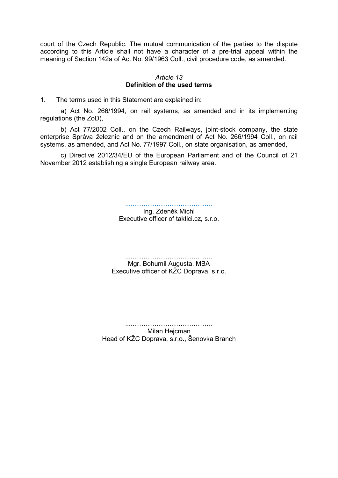court of the Czech Republic. The mutual communication of the parties to the dispute according to this Article shall not have a character of a pre-trial appeal within the meaning of Section 142a of Act No. 99/1963 Coll., civil procedure code, as amended.

#### Article 13 Definition of the used terms

1. The terms used in this Statement are explained in:

a) Act No. 266/1994, on rail systems, as amended and in its implementing regulations (the ZoD),

b) Act 77/2002 Coll., on the Czech Railways, joint-stock company, the state enterprise Správa železnic and on the amendment of Act No. 266/1994 Coll., on rail systems, as amended, and Act No. 77/1997 Coll., on state organisation, as amended,

c) Directive 2012/34/EU of the European Parliament and of the Council of 21 November 2012 establishing a single European railway area.

....……………………………….

Ing. Zdeněk Michl Executive officer of taktici.cz, s.r.o.

....……………………………….

Mgr. Bohumil Augusta, MBA Executive officer of KŽC Doprava, s.r.o.

....………………………………. Milan Hejcman Head of KŽC Doprava, s.r.o., Šenovka Branch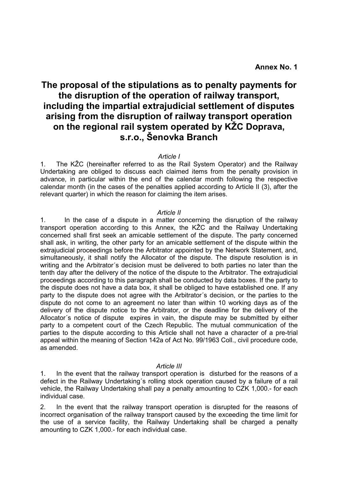## The proposal of the stipulations as to penalty payments for the disruption of the operation of railway transport, including the impartial extrajudicial settlement of disputes arising from the disruption of railway transport operation on the regional rail system operated by KŽC Doprava, s.r.o., Šenovka Branch

#### Article I

1. The KŽC (hereinafter referred to as the Rail System Operator) and the Railway Undertaking are obliged to discuss each claimed items from the penalty provision in advance, in particular within the end of the calendar month following the respective calendar month (in the cases of the penalties applied according to Article II (3), after the relevant quarter) in which the reason for claiming the item arises.

#### Article II

1. In the case of a dispute in a matter concerning the disruption of the railway transport operation according to this Annex, the KŽC and the Railway Undertaking concerned shall first seek an amicable settlement of the dispute. The party concerned shall ask, in writing, the other party for an amicable settlement of the dispute within the extrajudicial proceedings before the Arbitrator appointed by the Network Statement, and, simultaneously, it shall notify the Allocator of the dispute. The dispute resolution is in writing and the Arbitrator´s decision must be delivered to both parties no later than the tenth day after the delivery of the notice of the dispute to the Arbitrator. The extrajudicial proceedings according to this paragraph shall be conducted by data boxes. If the party to the dispute does not have a data box, it shall be obliged to have established one. If any party to the dispute does not agree with the Arbitrator´s decision, or the parties to the dispute do not come to an agreement no later than within 10 working days as of the delivery of the dispute notice to the Arbitrator, or the deadline for the delivery of the Allocator´s notice of dispute expires in vain, the dispute may be submitted by either party to a competent court of the Czech Republic. The mutual communication of the parties to the dispute according to this Article shall not have a character of a pre-trial appeal within the meaning of Section 142a of Act No. 99/1963 Coll., civil procedure code, as amended.

#### Article III

1. In the event that the railway transport operation is disturbed for the reasons of a defect in the Railway Undertaking´s rolling stock operation caused by a failure of a rail vehicle, the Railway Undertaking shall pay a penalty amounting to CZK 1,000.- for each individual case.

2. In the event that the railway transport operation is disrupted for the reasons of incorrect organisation of the railway transport caused by the exceeding the time limit for the use of a service facility, the Railway Undertaking shall be charged a penalty amounting to CZK 1,000.- for each individual case.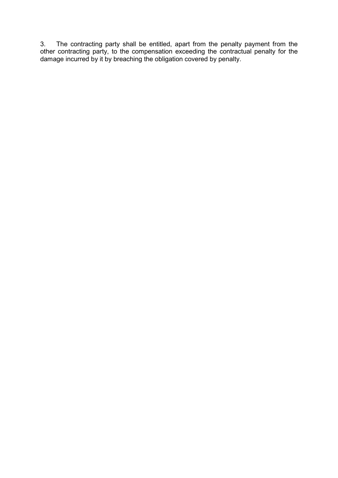3. The contracting party shall be entitled, apart from the penalty payment from the other contracting party, to the compensation exceeding the contractual penalty for the damage incurred by it by breaching the obligation covered by penalty.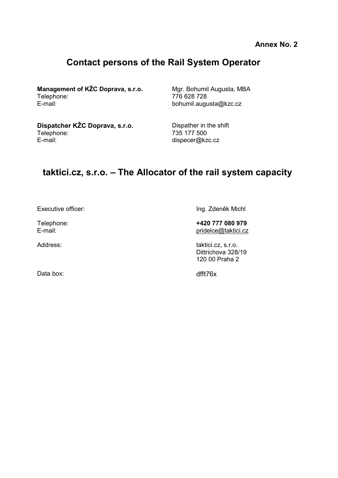Annex No. 2

# Contact persons of the Rail System Operator

**Management of KŽC Doprava, s.r.o.** Mgr. Bohumil Augusta, MBA<br>Telephone: 776 628 728 E-mail: bohumil.augusta@kzc.cz

Telephone: 776 628 728

Dispatcher KŽC Doprava, s.r.o. Dispather in the shift Telephone: 735 177 500

dispecer@kzc.cz

# taktici.cz, s.r.o. – The Allocator of the rail system capacity

Executive officer: Ing. Zdeněk Michl

Telephone:  $\begin{array}{ccc}\n\text{Telephone:} \\
\text{E-mail:} \\
\end{array}$ pridelce@taktici.cz

Address: taktici.cz, s.r.o. Dittrichova 328/19 120 00 Praha 2

Data box: dfft76x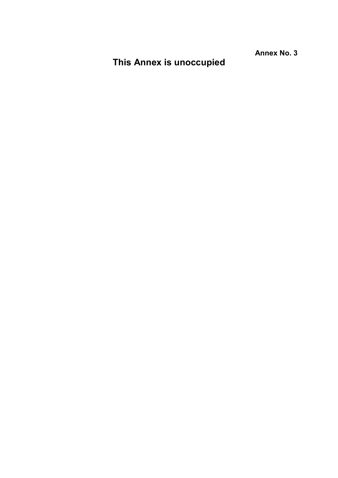Annex No. 3

# This Annex is unoccupied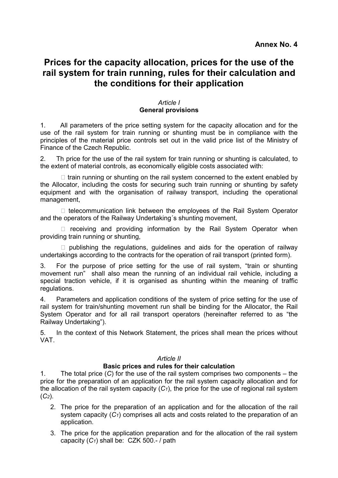### Prices for the capacity allocation, prices for the use of the rail system for train running, rules for their calculation and the conditions for their application

#### Article I General provisions

1. All parameters of the price setting system for the capacity allocation and for the use of the rail system for train running or shunting must be in compliance with the principles of the material price controls set out in the valid price list of the Ministry of Finance of the Czech Republic.

2. Th price for the use of the rail system for train running or shunting is calculated, to the extent of material controls, as economically eligible costs associated with:

 $\Box$  train running or shunting on the rail system concerned to the extent enabled by the Allocator, including the costs for securing such train running or shunting by safety equipment and with the organisation of railway transport, including the operational management,

 $\Box$  telecommunication link between the employees of the Rail System Operator and the operators of the Railway Undertaking´s shunting movement,

 $\Box$  receiving and providing information by the Rail System Operator when providing train running or shunting,

 $\Box$  publishing the regulations, guidelines and aids for the operation of railway undertakings according to the contracts for the operation of rail transport (printed form).

3. For the purpose of price setting for the use of rail system, "train or shunting movement run" shall also mean the running of an individual rail vehicle, including a special traction vehicle, if it is organised as shunting within the meaning of traffic regulations.

4. Parameters and application conditions of the system of price setting for the use of rail system for train/shunting movement run shall be binding for the Allocator, the Rail System Operator and for all rail transport operators (hereinafter referred to as "the Railway Undertaking").

5. In the context of this Network Statement, the prices shall mean the prices without VAT.

#### Article II

#### Basic prices and rules for their calculation

1. The total price (C) for the use of the rail system comprises two components – the price for the preparation of an application for the rail system capacity allocation and for the allocation of the rail system capacity  $(C_1)$ , the price for the use of regional rail system  $(C_2)$ .

- 2. The price for the preparation of an application and for the allocation of the rail system capacity  $(C_1)$  comprises all acts and costs related to the preparation of an application.
- 3. The price for the application preparation and for the allocation of the rail system capacity  $(C_1)$  shall be: CZK 500.-/ path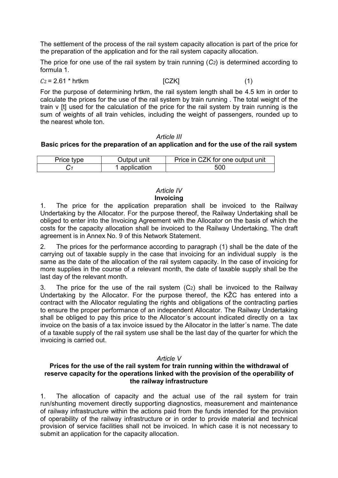The settlement of the process of the rail system capacity allocation is part of the price for the preparation of the application and for the rail system capacity allocation.

The price for one use of the rail system by train running  $(C_2)$  is determined according to formula 1.

 $C_2 = 2.61$  \* hrtkm [CZK] (1)

For the purpose of determining hrtkm, the rail system length shall be 4.5 km in order to calculate the prices for the use of the rail system by train running . The total weight of the train v [t] used for the calculation of the price for the rail system by train running is the sum of weights of all train vehicles, including the weight of passengers, rounded up to the nearest whole ton.

#### Article III

#### Basic prices for the preparation of an application and for the use of the rail system

| Price type | Output unit   | Price in CZK for one output unit |
|------------|---------------|----------------------------------|
|            | 1 application | 500                              |

#### Article IV Invoicing

1. The price for the application preparation shall be invoiced to the Railway Undertaking by the Allocator. For the purpose thereof, the Railway Undertaking shall be obliged to enter into the Invoicing Agreement with the Allocator on the basis of which the costs for the capacity allocation shall be invoiced to the Railway Undertaking. The draft agreement is in Annex No. 9 of this Network Statement.

2. The prices for the performance according to paragraph (1) shall be the date of the carrying out of taxable supply in the case that invoicing for an individual supply is the same as the date of the allocation of the rail system capacity. In the case of invoicing for more supplies in the course of a relevant month, the date of taxable supply shall be the last day of the relevant month.

3. The price for the use of the rail system (C2) shall be invoiced to the Railway Undertaking by the Allocator. For the purpose thereof, the KŽC has entered into a contract with the Allocator regulating the rights and obligations of the contracting parties to ensure the proper performance of an independent Allocator. The Railway Undertaking shall be obliged to pay this price to the Allocator´s account indicated directly on a tax invoice on the basis of a tax invoice issued by the Allocator in the latter´s name. The date of a taxable supply of the rail system use shall be the last day of the quarter for which the invoicing is carried out.

#### Article V

#### Prices for the use of the rail system for train running within the withdrawal of reserve capacity for the operations linked with the provision of the operability of the railway infrastructure

1. The allocation of capacity and the actual use of the rail system for train run/shunting movement directly supporting diagnostics, measurement and maintenance of railway infrastructure within the actions paid from the funds intended for the provision of operability of the railway infrastructure or in order to provide material and technical provision of service facilities shall not be invoiced. In which case it is not necessary to submit an application for the capacity allocation.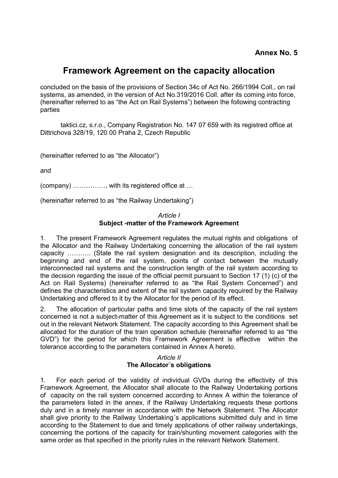### Framework Agreement on the capacity allocation

concluded on the basis of the provisions of Section 34c of Act No. 266/1994 Coll., on rail systems, as amended, in the version of Act No.319/2016 Coll. after its coming into force, (hereinafter referred to as "the Act on Rail Systems") between the following contracting parties

taktici.cz, s.r.o., Company Registration No. 147 07 659 with its registred office at Dittrichova 328/19, 120 00 Praha 2, Czech Republic

(hereinafter referred to as "the Allocator")

and

(company) ……………, with its registered office at …

(hereinafter referred to as "the Railway Undertaking")

#### Article I Subject -matter of the Framework Agreement

1. The present Framework Agreement regulates the mutual rights and obligations of the Allocator and the Railway Undertaking concerning the allocation of the rail system capacity ……….. (State the rail system designation and its description, including the beginning and end of the rail system, points of contact between the mutually interconnected rail systems and the construction length of the rail system according to the decision regarding the issue of the official permit pursuant to Section 17 (1) (c) of the Act on Rail Systems) (hereinafter referred to as "the Rail System Concerned") and defines the characteristics and extent of the rail system capacity required by the Railway Undertaking and offered to it by the Allocator for the period of its effect.

2. The allocation of particular paths and time slots of the capacity of the rail system concerned is not a subject-matter of this Agreement as it is subject to the conditions set out in the relevant Network Statement. The capacity according to this Agreement shall be allocated for the duration of the train operation schedule (hereinafter referred to as "the GVD") for the period for which this Framework Agreement is effective within the tolerance according to the parameters contained in Annex A hereto.

#### Article II The Allocator´s obligations

1. For each period of the validity of individual GVDs during the effectivity of this Framework Agreement, the Allocator shall allocate to the Railway Undertaking portions of capacity on the rail system concerned according to Annex A within the tolerance of the parameters listed in the annex, if the Railway Undertaking requests these portions duly and in a timely manner in accordance with the Network Statement. The Allocator shall give priority to the Railway Undertaking´s applications submitted duly and in time according to the Statement to due and timely applications of other railway undertakings, concerning the portions of the capacity for train/shunting movement categories with the same order as that specified in the priority rules in the relevant Network Statement.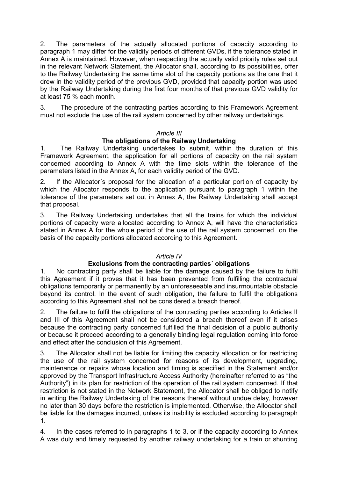2. The parameters of the actually allocated portions of capacity according to paragraph 1 may differ for the validity periods of different GVDs, if the tolerance stated in Annex A is maintained. However, when respecting the actually valid priority rules set out in the relevant Network Statement, the Allocator shall, according to its possibilities, offer to the Railway Undertaking the same time slot of the capacity portions as the one that it drew in the validity period of the previous GVD, provided that capacity portion was used by the Railway Undertaking during the first four months of that previous GVD validity for at least 75 % each month.

3. The procedure of the contracting parties according to this Framework Agreement must not exclude the use of the rail system concerned by other railway undertakings.

#### Article III

#### The obligations of the Railway Undertaking

1. The Railway Undertaking undertakes to submit, within the duration of this Framework Agreement, the application for all portions of capacity on the rail system concerned according to Annex A with the time slots within the tolerance of the parameters listed in the Annex A, for each validity period of the GVD.

2. If the Allocator´s proposal for the allocation of a particular portion of capacity by which the Allocator responds to the application pursuant to paragraph 1 within the tolerance of the parameters set out in Annex A, the Railway Undertaking shall accept that proposal.

3. The Railway Undertaking undertakes that all the trains for which the individual portions of capacity were allocated according to Annex A, will have the characteristics stated in Annex A for the whole period of the use of the rail system concerned on the basis of the capacity portions allocated according to this Agreement.

#### Article IV

#### Exclusions from the contracting parties´ obligations

1. No contracting party shall be liable for the damage caused by the failure to fulfil this Agreement if it proves that it has been prevented from fulfilling the contractual obligations temporarily or permanently by an unforeseeable and insurmountable obstacle beyond its control. In the event of such obligation, the failure to fulfil the obligations according to this Agreement shall not be considered a breach thereof.

2. The failure to fulfil the obligations of the contracting parties according to Articles II and III of this Agreement shall not be considered a breach thereof even if it arises because the contracting party concerned fulfilled the final decision of a public authority or because it proceed according to a generally binding legal regulation coming into force and effect after the conclusion of this Agreement.

3. The Allocator shall not be liable for limiting the capacity allocation or for restricting the use of the rail system concerned for reasons of its development, upgrading, maintenance or repairs whose location and timing is specified in the Statement and/or approved by the Transport Infrastructure Access Authority (hereinafter referred to as "the Authority") in its plan for restriction of the operation of the rail system concerned. If that restriction is not stated in the Network Statement, the Allocator shall be obliged to notify in writing the Railway Undertaking of the reasons thereof without undue delay, however no later than 30 days before the restriction is implemented. Otherwise, the Allocator shall be liable for the damages incurred, unless its inability is excluded according to paragraph 1.

4. In the cases referred to in paragraphs 1 to 3, or if the capacity according to Annex A was duly and timely requested by another railway undertaking for a train or shunting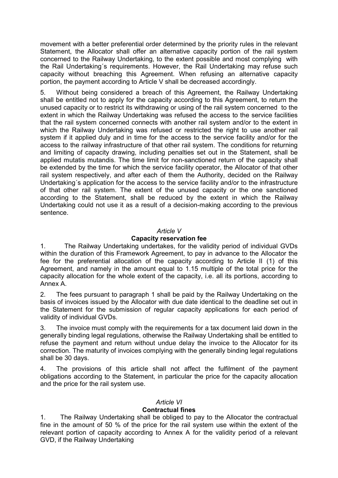movement with a better preferential order determined by the priority rules in the relevant Statement, the Allocator shall offer an alternative capacity portion of the rail system concerned to the Railway Undertaking, to the extent possible and most complying with the Rail Undertaking´s requirements. However, the Rail Undertaking may refuse such capacity without breaching this Agreement. When refusing an alternative capacity portion, the payment according to Article V shall be decreased accordingly.

5. Without being considered a breach of this Agreement, the Railway Undertaking shall be entitled not to apply for the capacity according to this Agreement, to return the unused capacity or to restrict its withdrawing or using of the rail system concerned to the extent in which the Railway Undertaking was refused the access to the service facilities that the rail system concerned connects with another rail system and/or to the extent in which the Railway Undertaking was refused or restricted the right to use another rail system if it applied duly and in time for the access to the service facility and/or for the access to the railway infrastructure of that other rail system. The conditions for returning and limiting of capacity drawing, including penalties set out in the Statement, shall be applied mutatis mutandis. The time limit for non-sanctioned return of the capacity shall be extended by the time for which the service facility operator, the Allocator of that other rail system respectively, and after each of them the Authority, decided on the Railway Undertaking´s application for the access to the service facility and/or to the infrastructure of that other rail system. The extent of the unused capacity or the one sanctioned according to the Statement, shall be reduced by the extent in which the Railway Undertaking could not use it as a result of a decision-making according to the previous sentence.

#### Article V

#### Capacity reservation fee

1. The Railway Undertaking undertakes, for the validity period of individual GVDs within the duration of this Framework Agreement, to pay in advance to the Allocator the fee for the preferential allocation of the capacity according to Article II (1) of this Agreement, and namely in the amount equal to 1.15 multiple of the total price for the capacity allocation for the whole extent of the capacity, i.e. all its portions, according to Annex A.

2. The fees pursuant to paragraph 1 shall be paid by the Railway Undertaking on the basis of invoices issued by the Allocator with due date identical to the deadline set out in the Statement for the submission of regular capacity applications for each period of validity of individual GVDs.

3. The invoice must comply with the requirements for a tax document laid down in the generally binding legal regulations, otherwise the Railway Undertaking shall be entitled to refuse the payment and return without undue delay the invoice to the Allocator for its correction. The maturity of invoices complying with the generally binding legal regulations shall be 30 days.

4. The provisions of this article shall not affect the fulfilment of the payment obligations according to the Statement, in particular the price for the capacity allocation and the price for the rail system use.

#### Article VI

#### Contractual fines

1. The Railway Undertaking shall be obliged to pay to the Allocator the contractual fine in the amount of 50 % of the price for the rail system use within the extent of the relevant portion of capacity according to Annex A for the validity period of a relevant GVD, if the Railway Undertaking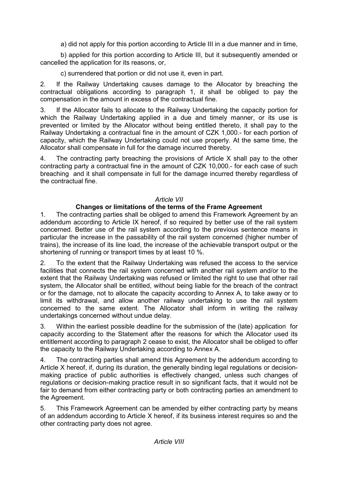a) did not apply for this portion according to Article III in a due manner and in time,

b) applied for this portion according to Article III, but it subsequently amended or cancelled the application for its reasons, or,

c) surrendered that portion or did not use it, even in part.

2. If the Railway Undertaking causes damage to the Allocator by breaching the contractual obligations according to paragraph 1, it shall be obliged to pay the compensation in the amount in excess of the contractual fine.

3. If the Allocator fails to allocate to the Railway Undertaking the capacity portion for which the Railway Undertaking applied in a due and timely manner, or its use is prevented or limited by the Allocator without being entitled thereto, it shall pay to the Railway Undertaking a contractual fine in the amount of CZK 1,000.- for each portion of capacity, which the Railway Undertaking could not use properly. At the same time, the Allocator shall compensate in full for the damage incurred thereby.

4. The contracting party breaching the provisions of Article X shall pay to the other contracting party a contractual fine in the amount of CZK 10,000.- for each case of such breaching and it shall compensate in full for the damage incurred thereby regardless of the contractual fine.

#### Article VII

#### Changes or limitations of the terms of the Frame Agreement

1. The contracting parties shall be obliged to amend this Framework Agreement by an addendum according to Article IX hereof, if so required by better use of the rail system concerned. Better use of the rail system according to the previous sentence means in particular the increase in the passability of the rail system concerned (higher number of trains), the increase of its line load, the increase of the achievable transport output or the shortening of running or transport times by at least 10 %.

2. To the extent that the Railway Undertaking was refused the access to the service facilities that connects the rail system concerned with another rail system and/or to the extent that the Railway Undertaking was refused or limited the right to use that other rail system, the Allocator shall be entitled, without being liable for the breach of the contract or for the damage, not to allocate the capacity according to Annex A, to take away or to limit its withdrawal, and allow another railway undertaking to use the rail system concerned to the same extent. The Allocator shall inform in writing the railway undertakings concerned without undue delay.

3. Within the earliest possible deadline for the submission of the (late) application for capacity according to the Statement after the reasons for which the Allocator used its entitlement according to paragraph 2 cease to exist, the Allocator shall be obliged to offer the capacity to the Railway Undertaking according to Annex A.

4. The contracting parties shall amend this Agreement by the addendum according to Article X hereof, if, during its duration, the generally binding legal regulations or decisionmaking practice of public authorities is effectively changed, unless such changes of regulations or decision-making practice result in so significant facts, that it would not be fair to demand from either contracting party or both contracting parties an amendment to the Agreement.

5. This Framework Agreement can be amended by either contracting party by means of an addendum according to Article X hereof, if its business interest requires so and the other contracting party does not agree.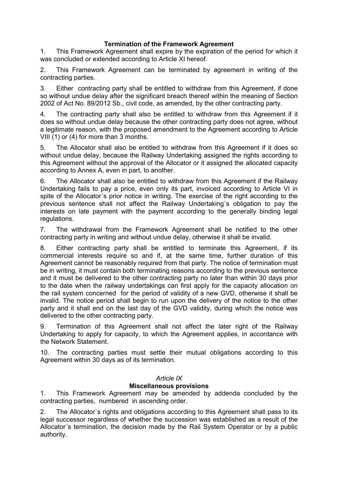#### Termination of the Framework Agreement

1. This Framework Agreement shall expire by the expiration of the period for which it was concluded or extended according to Article XI hereof.

2. This Framework Agreement can be terminated by agreement in writing of the contracting parties.

3. Either contracting party shall be entitled to withdraw from this Agreement, if done so without undue delay after the significant breach thereof within the meaning of Section 2002 of Act No. 89/2012 Sb., civil code, as amended, by the other contracting party.

4. The contracting party shall also be entitled to withdraw from this Agreement if it does so without undue delay because the other contracting party does not agree, without a legitimate reason, with the proposed amendment to the Agreement according to Article VIII (1) or (4) for more than 3 months.

5. The Allocator shall also be entitled to withdraw from this Agreement if it does so without undue delay, because the Railway Undertaking assigned the rights according to this Agreement without the approval of the Allocator or it assigned the allocated capacity according to Annex A, even in part, to another.

6. The Allocator shall also be entitled to withdraw from this Agreement if the Railway Undertaking fails to pay a price, even only its part, invoiced according to Article VI in spite of the Allocator´s prior notice in writing. The exercise of the right according to the previous sentence shall not affect the Railway Undertaking´s obligation to pay the interests on late payment with the payment according to the generally binding legal regulations.

7. The withdrawal from the Framework Agreement shall be notified to the other contracting party in writing and without undue delay, otherwise it shall be invalid.

8. Either contracting party shall be entitled to terminate this Agreement, if its commercial interests require so and if, at the same time, further duration of this Agreement cannot be reasonably required from that party. The notice of termination must be in writing, it must contain both terminating reasons according to the previous sentence and it must be delivered to the other contracting party no later than within 30 days prior to the date when the railway undertakings can first apply for the capacity allocation on the rail system concerned for the period of validity of a new GVD, otherwise it shall be invalid. The notice period shall begin to run upon the delivery of the notice to the other party and it shall end on the last day of the GVD validity, during which the notice was delivered to the other contracting party.

9. Termination of this Agreement shall not affect the later right of the Railway Undertaking to apply for capacity, to which the Agreement applies, in accordance with the Network Statement.

10. The contracting parties must settle their mutual obligations according to this Agreement within 30 days as of its termination.

#### Article IX

#### Miscellaneous provisions

1. This Framework Agreement may be amended by addenda concluded by the contracting parties, numbered in ascending order.

2. The Allocator´s rights and obligations according to this Agreement shall pass to its legal successor regardless of whether the succession was established as a result of the Allocator´s termination, the decision made by the Rail System Operator or by a public authority.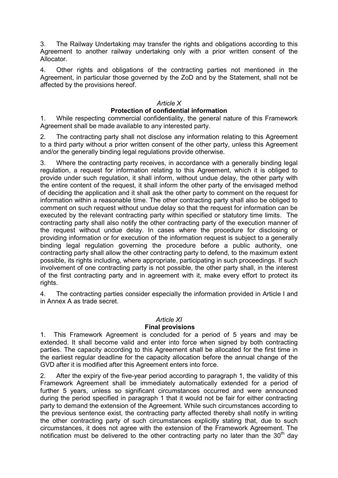3. The Railway Undertaking may transfer the rights and obligations according to this Agreement to another railway undertaking only with a prior written consent of the Allocator.

4. Other rights and obligations of the contracting parties not mentioned in the Agreement, in particular those governed by the ZoD and by the Statement, shall not be affected by the provisions hereof.

#### Article X

#### Protection of confidential information

1. While respecting commercial confidentiality, the general nature of this Framework Agreement shall be made available to any interested party.

2. The contracting party shall not disclose any information relating to this Agreement to a third party without a prior written consent of the other party, unless this Agreement and/or the generally binding legal regulations provide otherwise.

3. Where the contracting party receives, in accordance with a generally binding legal regulation, a request for information relating to this Agreement, which it is obliged to provide under such regulation, it shall inform, without undue delay, the other party with the entire content of the request, it shall inform the other party of the envisaged method of deciding the application and it shall ask the other party to comment on the request for information within a reasonable time. The other contracting party shall also be obliged to comment on such request without undue delay so that the request for information can be executed by the relevant contracting party within specified or statutory time limits. The contracting party shall also notify the other contracting party of the execution manner of the request without undue delay. In cases where the procedure for disclosing or providing information or for execution of the information request is subject to a generally binding legal regulation governing the procedure before a public authority, one contracting party shall allow the other contracting party to defend, to the maximum extent possible, its rights including, where appropriate, participating in such proceedings. If such involvement of one contracting party is not possible, the other party shall, in the interest of the first contracting party and in agreement with it, make every effort to protect its rights.

4. The contracting parties consider especially the information provided in Article I and in Annex A as trade secret.

#### Article XI

#### Final provisions

1. This Framework Agreement is concluded for a period of 5 years and may be extended. It shall become valid and enter into force when signed by both contracting parties. The capacity according to this Agreement shall be allocated for the first time in the earliest regular deadline for the capacity allocation before the annual change of the GVD after it is modified after this Agreement enters into force.

2. After the expiry of the five-year period according to paragraph 1, the validity of this Framework Agreement shall be immediately automatically extended for a period of further 5 years, unless so significant circumstances occurred and were announced during the period specified in paragraph 1 that it would not be fair for either contracting party to demand the extension of the Agreement. While such circumstances according to the previous sentence exist, the contracting party affected thereby shall notify in writing the other contracting party of such circumstances explicitly stating that, due to such circumstances, it does not agree with the extension of the Framework Agreement. The notification must be delivered to the other contracting party no later than the  $30<sup>th</sup>$  day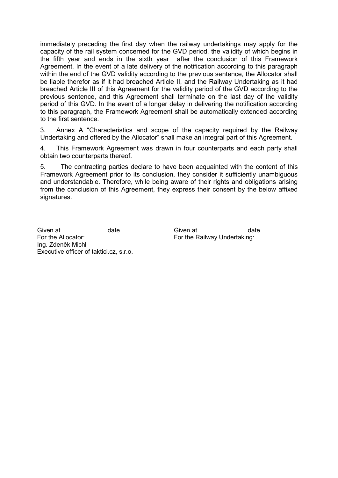immediately preceding the first day when the railway undertakings may apply for the capacity of the rail system concerned for the GVD period, the validity of which begins in the fifth year and ends in the sixth year after the conclusion of this Framework Agreement. In the event of a late delivery of the notification according to this paragraph within the end of the GVD validity according to the previous sentence, the Allocator shall be liable therefor as if it had breached Article II, and the Railway Undertaking as it had breached Article III of this Agreement for the validity period of the GVD according to the previous sentence, and this Agreement shall terminate on the last day of the validity period of this GVD. In the event of a longer delay in delivering the notification according to this paragraph, the Framework Agreement shall be automatically extended according to the first sentence.

3. Annex A "Characteristics and scope of the capacity required by the Railway Undertaking and offered by the Allocator" shall make an integral part of this Agreement.

4. This Framework Agreement was drawn in four counterparts and each party shall obtain two counterparts thereof.

5. The contracting parties declare to have been acquainted with the content of this Framework Agreement prior to its conclusion, they consider it sufficiently unambiguous and understandable. Therefore, while being aware of their rights and obligations arising from the conclusion of this Agreement, they express their consent by the below affixed signatures.

For the Allocator: **For the Railway Undertaking:** Ing. Zdeněk Michl Executive officer of taktici.cz, s.r.o.

Given at ………………… date..................... Given at ………………….. date .....................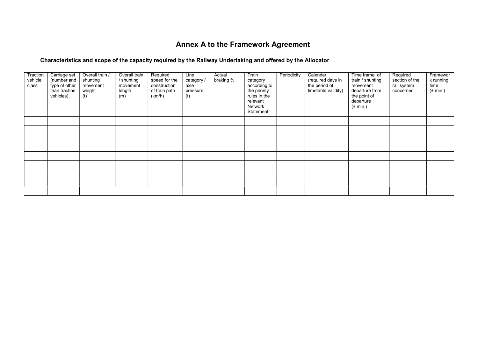## Annex A to the Framework Agreement

#### Characteristics and scope of the capacity required by the Railway Undertaking and offered by the Allocator

| Traction<br>vehicle<br>class | Carriage set<br>(number and<br>type of other<br>than traction<br>vehicles) | Overall train /<br>shunting<br>movement<br>weight<br>(t) | Overall train<br>/ shunting<br>movement<br>length<br>(m) | Required<br>speed for the<br>construction<br>of train path<br>(km/h) | Line<br>category /<br>axle<br>pressure<br>(t) | Actual<br>braking % | Train<br>category<br>according to<br>the priority<br>rules in the<br>relevant<br>Network<br>Statement | Periodicity | Calendar<br>(required days in<br>the period of<br>timetable validity) | Time frame of<br>train / shunting<br>movement<br>departure from<br>the point of<br>departure<br>$(\pm \text{ min.})$ | Required<br>section of the<br>rail system<br>concerned | Framewor<br>k running<br>time<br>$(\pm$ min.) |
|------------------------------|----------------------------------------------------------------------------|----------------------------------------------------------|----------------------------------------------------------|----------------------------------------------------------------------|-----------------------------------------------|---------------------|-------------------------------------------------------------------------------------------------------|-------------|-----------------------------------------------------------------------|----------------------------------------------------------------------------------------------------------------------|--------------------------------------------------------|-----------------------------------------------|
|                              |                                                                            |                                                          |                                                          |                                                                      |                                               |                     |                                                                                                       |             |                                                                       |                                                                                                                      |                                                        |                                               |
|                              |                                                                            |                                                          |                                                          |                                                                      |                                               |                     |                                                                                                       |             |                                                                       |                                                                                                                      |                                                        |                                               |
|                              |                                                                            |                                                          |                                                          |                                                                      |                                               |                     |                                                                                                       |             |                                                                       |                                                                                                                      |                                                        |                                               |
|                              |                                                                            |                                                          |                                                          |                                                                      |                                               |                     |                                                                                                       |             |                                                                       |                                                                                                                      |                                                        |                                               |
|                              |                                                                            |                                                          |                                                          |                                                                      |                                               |                     |                                                                                                       |             |                                                                       |                                                                                                                      |                                                        |                                               |
|                              |                                                                            |                                                          |                                                          |                                                                      |                                               |                     |                                                                                                       |             |                                                                       |                                                                                                                      |                                                        |                                               |
|                              |                                                                            |                                                          |                                                          |                                                                      |                                               |                     |                                                                                                       |             |                                                                       |                                                                                                                      |                                                        |                                               |
|                              |                                                                            |                                                          |                                                          |                                                                      |                                               |                     |                                                                                                       |             |                                                                       |                                                                                                                      |                                                        |                                               |
|                              |                                                                            |                                                          |                                                          |                                                                      |                                               |                     |                                                                                                       |             |                                                                       |                                                                                                                      |                                                        |                                               |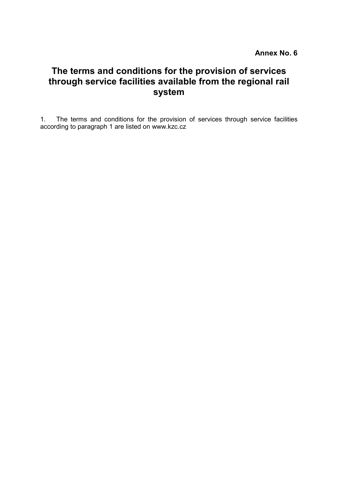# The terms and conditions for the provision of services through service facilities available from the regional rail system

1. The terms and conditions for the provision of services through service facilities according to paragraph 1 are listed on www.kzc.cz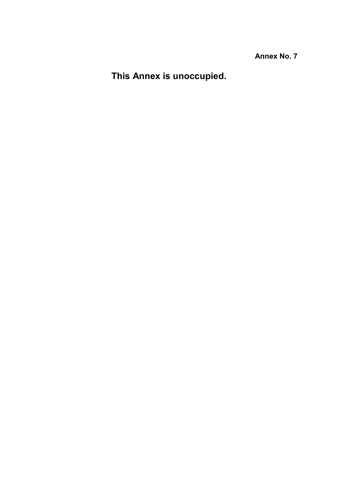This Annex is unoccupied.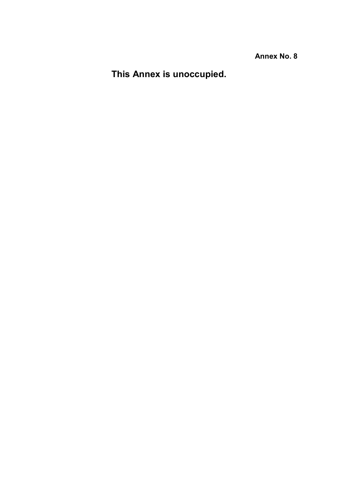This Annex is unoccupied.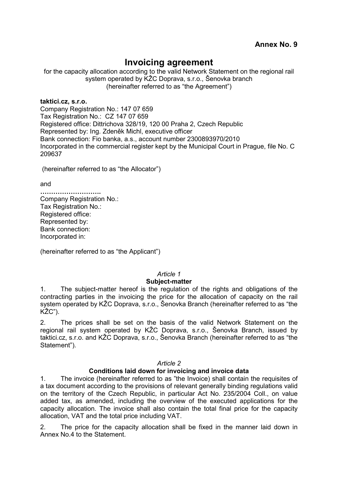### Invoicing agreement

for the capacity allocation according to the valid Network Statement on the regional rail system operated by KŽC Doprava, s.r.o., Šenovka branch (hereinafter referred to as "the Agreement")

taktici.cz, s.r.o. Company Registration No.: 147 07 659 Tax Registration No.: CZ 147 07 659 Registered office: Dittrichova 328/19, 120 00 Praha 2, Czech Republic Represented by: Ing. Zdeněk Michl, executive officer Bank connection: Fio banka, a.s., account number 2300893970/2010 Incorporated in the commercial register kept by the Municipal Court in Prague, file No. C 209637

(hereinafter referred to as "the Allocator")

and

………………………. Company Registration No.: Tax Registration No.: Registered office: Represented by: Bank connection: Incorporated in:

(hereinafter referred to as "the Applicant")

#### Article 1

#### Subject-matter

1. The subject-matter hereof is the regulation of the rights and obligations of the contracting parties in the invoicing the price for the allocation of capacity on the rail system operated by KŽC Doprava, s.r.o., Šenovka Branch (hereinafter referred to as "the KŽC").

2. The prices shall be set on the basis of the valid Network Statement on the regional rail system operated by KŽC Doprava, s.r.o., Šenovka Branch, issued by taktici.cz, s.r.o. and KŽC Doprava, s.r.o., Šenovka Branch (hereinafter referred to as "the Statement").

#### Article 2

#### Conditions laid down for invoicing and invoice data

1. The invoice (hereinafter referred to as "the Invoice) shall contain the requisites of a tax document according to the provisions of relevant generally binding regulations valid on the territory of the Czech Republic, in particular Act No. 235/2004 Coll., on value added tax, as amended, including the overview of the executed applications for the capacity allocation. The invoice shall also contain the total final price for the capacity allocation, VAT and the total price including VAT.

2. The price for the capacity allocation shall be fixed in the manner laid down in Annex No.4 to the Statement.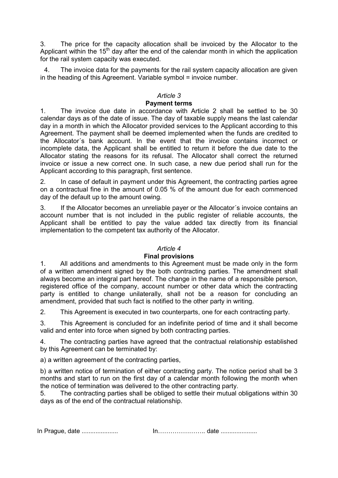3. The price for the capacity allocation shall be invoiced by the Allocator to the Applicant within the  $15<sup>th</sup>$  day after the end of the calendar month in which the application for the rail system capacity was executed.

4. The invoice data for the payments for the rail system capacity allocation are given in the heading of this Agreement. Variable symbol = invoice number.

#### Article 3

#### Payment terms

1. The invoice due date in accordance with Article 2 shall be settled to be 30 calendar days as of the date of issue. The day of taxable supply means the last calendar day in a month in which the Allocator provided services to the Applicant according to this Agreement. The payment shall be deemed implemented when the funds are credited to the Allocator´s bank account. In the event that the invoice contains incorrect or incomplete data, the Applicant shall be entitled to return it before the due date to the Allocator stating the reasons for its refusal. The Allocator shall correct the returned invoice or issue a new correct one. In such case, a new due period shall run for the Applicant according to this paragraph, first sentence.

2. In case of default in payment under this Agreement, the contracting parties agree on a contractual fine in the amount of 0.05 % of the amount due for each commenced day of the default up to the amount owing.

3. If the Allocator becomes an unreliable payer or the Allocator´s invoice contains an account number that is not included in the public register of reliable accounts, the Applicant shall be entitled to pay the value added tax directly from its financial implementation to the competent tax authority of the Allocator.

#### Article 4

#### Final provisions

1. All additions and amendments to this Agreement must be made only in the form of a written amendment signed by the both contracting parties. The amendment shall always become an integral part hereof. The change in the name of a responsible person, registered office of the company, account number or other data which the contracting party is entitled to change unilaterally, shall not be a reason for concluding an amendment, provided that such fact is notified to the other party in writing.

2. This Agreement is executed in two counterparts, one for each contracting party.

3. This Agreement is concluded for an indefinite period of time and it shall become valid and enter into force when signed by both contracting parties.

4. The contracting parties have agreed that the contractual relationship established by this Agreement can be terminated by:

a) a written agreement of the contracting parties,

b) a written notice of termination of either contracting party. The notice period shall be 3 months and start to run on the first day of a calendar month following the month when the notice of termination was delivered to the other contracting party.

5. The contracting parties shall be obliged to settle their mutual obligations within 30 days as of the end of the contractual relationship.

In Prague, date ..................... In………………….. date .....................